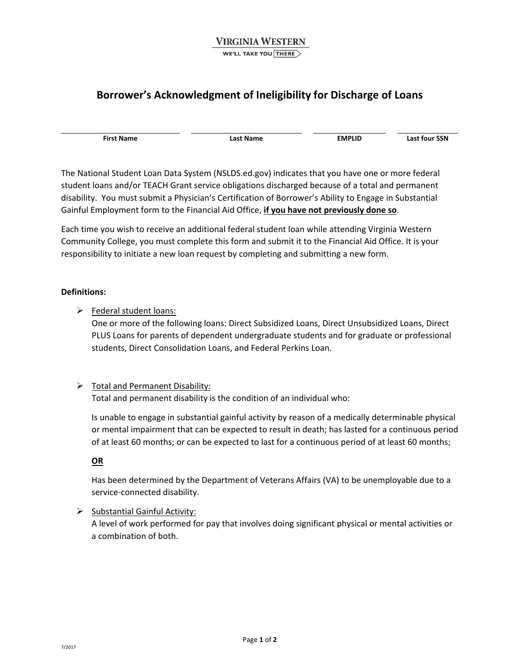# **Borrower's Acknowledgment of Ineligibility for Discharge of Loans**

 **First Name Last Name EMPLID Last four SSN**

 The National Student Loan Data System ([NSLDS.ed.gov](https://NSLDS.ed.gov)) indicates that you have one or more federal student loans and/or TEACH Grant service obligations discharged because of a total and permanent disability. You must submit a Physician's Certification of Borrower's Ability to Engage in Substantial  Gainful Employment form to the Financial Aid Office, **if you have not previously done so**.

 Each time you wish to receive an additional federal student loan while attending Virginia Western Community College, you must complete this form and submit it to the Financial Aid Office. It is your responsibility to initiate a new loan request by completing and submitting a new form.

#### **Definitions:**

> Federal student loans:

 One or more of the following loans: Direct Subsidized Loans, Direct Unsubsidized Loans, Direct PLUS Loans for parents of dependent undergraduate students and for graduate or professional students, Direct Consolidation Loans, and Federal Perkins Loan.

### > Total and Permanent Disability:

Total and permanent disability is the condition of an individual who:

 Is unable to engage in substantial gainful activity by reason of a medically determinable physical or mental impairment that can be expected to result in death; has lasted for a continuous period of at least 60 months; or can be expected to last for a continuous period of at least 60 months;

#### **OR**

 Has been determined by the Department of Veterans Affairs (VA) to be unemployable due to a service‐connected disability.

Substantial Gainful Activity:

 A level of work performed for pay that involves doing significant physical or mental activities or a combination of both.